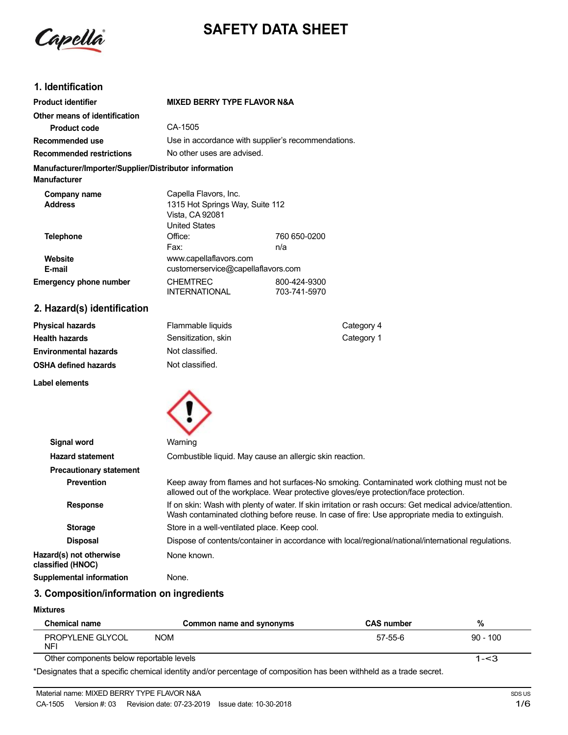Capella

# **SAFETY DATA SHEET**

## **1. Identification**

| <b>Product identifier</b>                                                     | <b>MIXED BERRY TYPE FLAVOR N&amp;A</b>                                                              |                              |
|-------------------------------------------------------------------------------|-----------------------------------------------------------------------------------------------------|------------------------------|
| Other means of identification                                                 |                                                                                                     |                              |
| <b>Product code</b>                                                           | CA-1505                                                                                             |                              |
| Recommended use                                                               | Use in accordance with supplier's recommendations.                                                  |                              |
| <b>Recommended restrictions</b>                                               | No other uses are advised.                                                                          |                              |
| Manufacturer/Importer/Supplier/Distributor information<br><b>Manufacturer</b> |                                                                                                     |                              |
| Company name<br><b>Address</b>                                                | Capella Flavors, Inc.<br>1315 Hot Springs Way, Suite 112<br>Vista, CA 92081<br><b>United States</b> |                              |
| <b>Telephone</b>                                                              | Office:<br>Fax:                                                                                     | 760 650-0200<br>n/a          |
| Website<br>E-mail                                                             | www.capellaflavors.com<br>customerservice@capellaflavors.com                                        |                              |
| <b>Emergency phone number</b>                                                 | <b>CHEMTREC</b><br><b>INTERNATIONAL</b>                                                             | 800-424-9300<br>703-741-5970 |
| 2. Hazard(s) identification                                                   |                                                                                                     |                              |

| <b>Physical hazards</b>      | Flammable liquids   | Category 4 |
|------------------------------|---------------------|------------|
| Health hazards               | Sensitization, skin | Category 1 |
| <b>Environmental hazards</b> | Not classified.     |            |
| OSHA defined hazards         | Not classified.     |            |
|                              |                     |            |





| Signal word                                  | Warning                                                                                                                                                                                                   |
|----------------------------------------------|-----------------------------------------------------------------------------------------------------------------------------------------------------------------------------------------------------------|
| <b>Hazard statement</b>                      | Combustible liquid. May cause an allergic skin reaction.                                                                                                                                                  |
| <b>Precautionary statement</b>               |                                                                                                                                                                                                           |
| <b>Prevention</b>                            | Keep away from flames and hot surfaces-No smoking. Contaminated work clothing must not be<br>allowed out of the workplace. Wear protective gloves/eye protection/face protection.                         |
| <b>Response</b>                              | If on skin: Wash with plenty of water. If skin irritation or rash occurs: Get medical advice/attention.<br>Wash contaminated clothing before reuse. In case of fire: Use appropriate media to extinguish. |
| <b>Storage</b>                               | Store in a well-ventilated place. Keep cool.                                                                                                                                                              |
| <b>Disposal</b>                              | Dispose of contents/container in accordance with local/regional/national/international regulations.                                                                                                       |
| Hazard(s) not otherwise<br>classified (HNOC) | None known.                                                                                                                                                                                               |
| Supplemental information                     | None.                                                                                                                                                                                                     |

# **3. Composition/information on ingredients**

#### **Mixtures**

| <b>Chemical name</b>                     | Common name and synonyms | <b>CAS number</b> | %           |
|------------------------------------------|--------------------------|-------------------|-------------|
| PROPYLENE GLYCOL<br><b>NFI</b>           | <b>NOM</b>               | 57-55-6           | $90 - 100$  |
| Other components below reportable levels |                          |                   | 1- $\leq$ 3 |

\*Designates that a specific chemical identity and/or percentage of composition has been withheld as a trade secret.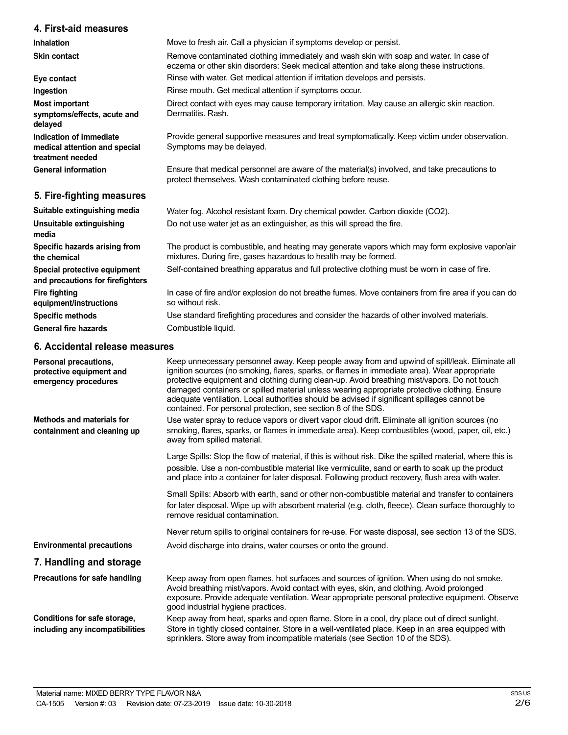## **4. First-aid measures**

**Inhalation Skin contact**

**Eye contact Ingestion Most important symptoms/effects, acute and delayed Indication of immediate medical attention and special treatment needed General information 5. Fire-fighting measures Suitable extinguishing media Unsuitable extinguishing media Specific hazards arising from the chemical Special protective equipment and precautions for firefighters Fire fighting equipment/instructions Specific methods** Remove contaminated clothing immediately and wash skin with soap and water. In case of eczema or other skin disorders: Seek medical attention and take along these instructions. Rinse with water. Get medical attention if irritation develops and persists. Rinse mouth. Get medical attention if symptoms occur. Direct contact with eyes may cause temporary irritation. May cause an allergic skin reaction. Dermatitis. Rash. Provide general supportive measures and treat symptomatically. Keep victim under observation. Symptoms may be delayed. Ensure that medical personnel are aware of the material(s) involved, and take precautions to protect themselves. Wash contaminated clothing before reuse. Water fog. Alcohol resistant foam. Dry chemical powder. Carbon dioxide (CO2). Do not use water jet as an extinguisher, as this will spread the fire. The product is combustible, and heating may generate vapors which may form explosive vapor/air mixtures. During fire, gases hazardous to health may be formed. Self-contained breathing apparatus and full protective clothing must be worn in case of fire. In case of fire and/or explosion do not breathe fumes. Move containers from fire area if you can do so without risk. Use standard firefighting procedures and consider the hazards of other involved materials.

Move to fresh air. Call a physician if symptoms develop or persist.

**General fire hazards**

Combustible liquid.

## **6. Accidental release measures**

| Personal precautions,<br>protective equipment and<br>emergency procedures | Keep unnecessary personnel away. Keep people away from and upwind of spill/leak. Eliminate all<br>ignition sources (no smoking, flares, sparks, or flames in immediate area). Wear appropriate<br>protective equipment and clothing during clean-up. Avoid breathing mist/vapors. Do not touch<br>damaged containers or spilled material unless wearing appropriate protective clothing. Ensure<br>adequate ventilation. Local authorities should be advised if significant spillages cannot be<br>contained. For personal protection, see section 8 of the SDS. |
|---------------------------------------------------------------------------|------------------------------------------------------------------------------------------------------------------------------------------------------------------------------------------------------------------------------------------------------------------------------------------------------------------------------------------------------------------------------------------------------------------------------------------------------------------------------------------------------------------------------------------------------------------|
| <b>Methods and materials for</b><br>containment and cleaning up           | Use water spray to reduce vapors or divert vapor cloud drift. Eliminate all ignition sources (no<br>smoking, flares, sparks, or flames in immediate area). Keep combustibles (wood, paper, oil, etc.)<br>away from spilled material.                                                                                                                                                                                                                                                                                                                             |
|                                                                           | Large Spills: Stop the flow of material, if this is without risk. Dike the spilled material, where this is<br>possible. Use a non-combustible material like vermiculite, sand or earth to soak up the product<br>and place into a container for later disposal. Following product recovery, flush area with water.                                                                                                                                                                                                                                               |
|                                                                           | Small Spills: Absorb with earth, sand or other non-combustible material and transfer to containers<br>for later disposal. Wipe up with absorbent material (e.g. cloth, fleece). Clean surface thoroughly to<br>remove residual contamination.                                                                                                                                                                                                                                                                                                                    |
|                                                                           | Never return spills to original containers for re-use. For waste disposal, see section 13 of the SDS.                                                                                                                                                                                                                                                                                                                                                                                                                                                            |
| <b>Environmental precautions</b>                                          | Avoid discharge into drains, water courses or onto the ground.                                                                                                                                                                                                                                                                                                                                                                                                                                                                                                   |
| 7. Handling and storage                                                   |                                                                                                                                                                                                                                                                                                                                                                                                                                                                                                                                                                  |
| Precautions for safe handling                                             | Keep away from open flames, hot surfaces and sources of ignition. When using do not smoke.<br>Avoid breathing mist/vapors. Avoid contact with eyes, skin, and clothing. Avoid prolonged<br>exposure. Provide adequate ventilation. Wear appropriate personal protective equipment. Observe<br>good industrial hygiene practices.                                                                                                                                                                                                                                 |
| Conditions for safe storage,<br>including any incompatibilities           | Keep away from heat, sparks and open flame. Store in a cool, dry place out of direct sunlight.<br>Store in tightly closed container. Store in a well-ventilated place. Keep in an area equipped with<br>sprinklers. Store away from incompatible materials (see Section 10 of the SDS).                                                                                                                                                                                                                                                                          |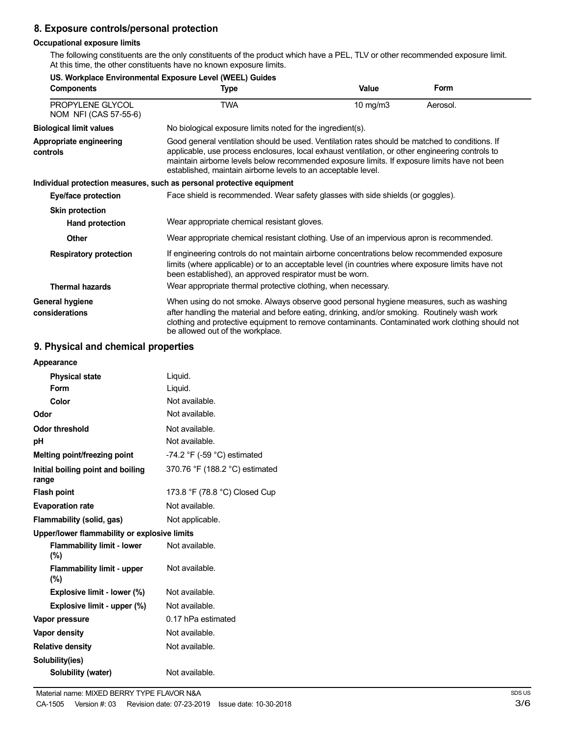# **8. Exposure controls/personal protection**

**US. Workplace Environmental Exposure Level (WEEL) Guides**

## **Occupational exposure limits**

The following constituents are the only constituents of the product which have a PEL, TLV or other recommended exposure limit. At this time, the other constituents have no known exposure limits.

| <b>Components</b>                         | OS. WORDIACE ENVIRONMENTAL EXPOSURE LEVER (WEEL) GUIDES<br>Type                                                                                                                                                                                                                                                                                                    | <b>Value</b> | Form     |
|-------------------------------------------|--------------------------------------------------------------------------------------------------------------------------------------------------------------------------------------------------------------------------------------------------------------------------------------------------------------------------------------------------------------------|--------------|----------|
| PROPYLENE GLYCOL<br>NOM NFI (CAS 57-55-6) | <b>TWA</b>                                                                                                                                                                                                                                                                                                                                                         | 10 mg/m $3$  | Aerosol. |
| <b>Biological limit values</b>            | No biological exposure limits noted for the ingredient(s).                                                                                                                                                                                                                                                                                                         |              |          |
| Appropriate engineering<br>controls       | Good general ventilation should be used. Ventilation rates should be matched to conditions. If<br>applicable, use process enclosures, local exhaust ventilation, or other engineering controls to<br>maintain airborne levels below recommended exposure limits. If exposure limits have not been<br>established, maintain airborne levels to an acceptable level. |              |          |
|                                           | Individual protection measures, such as personal protective equipment                                                                                                                                                                                                                                                                                              |              |          |
| Eye/face protection                       | Face shield is recommended. Wear safety glasses with side shields (or goggles).                                                                                                                                                                                                                                                                                    |              |          |
| <b>Skin protection</b>                    |                                                                                                                                                                                                                                                                                                                                                                    |              |          |
| Hand protection                           | Wear appropriate chemical resistant gloves.                                                                                                                                                                                                                                                                                                                        |              |          |
| <b>Other</b>                              | Wear appropriate chemical resistant clothing. Use of an impervious apron is recommended.                                                                                                                                                                                                                                                                           |              |          |
| <b>Respiratory protection</b>             | If engineering controls do not maintain airborne concentrations below recommended exposure<br>limits (where applicable) or to an acceptable level (in countries where exposure limits have not<br>been established), an approved respirator must be worn.                                                                                                          |              |          |
| <b>Thermal hazards</b>                    | Wear appropriate thermal protective clothing, when necessary.                                                                                                                                                                                                                                                                                                      |              |          |
| General hygiene<br>considerations         | When using do not smoke. Always observe good personal hygiene measures, such as washing<br>after handling the material and before eating, drinking, and/or smoking. Routinely wash work<br>clothing and protective equipment to remove contaminants. Contaminated work clothing should not<br>be allowed out of the workplace.                                     |              |          |

## **9. Physical and chemical properties**

| Appearance                                   |                                               |
|----------------------------------------------|-----------------------------------------------|
| <b>Physical state</b>                        | Liquid.                                       |
| Form                                         | Liquid.                                       |
| Color                                        | Not available.                                |
| Odor                                         | Not available.                                |
| <b>Odor threshold</b>                        | Not available.                                |
| рH                                           | Not available.                                |
| Melting point/freezing point                 | -74.2 $\degree$ F (-59 $\degree$ C) estimated |
| Initial boiling point and boiling<br>range   | 370.76 °F (188.2 °C) estimated                |
| <b>Flash point</b>                           | 173.8 °F (78.8 °C) Closed Cup                 |
| <b>Evaporation rate</b>                      | Not available.                                |
| Flammability (solid, gas)                    | Not applicable.                               |
| Upper/lower flammability or explosive limits |                                               |
| <b>Flammability limit - lower</b><br>$(\%)$  | Not available.                                |
| <b>Flammability limit - upper</b><br>$(\% )$ | Not available.                                |
| Explosive limit - lower (%)                  | Not available.                                |
| Explosive limit - upper (%)                  | Not available.                                |
| Vapor pressure                               | 0.17 hPa estimated                            |
| <b>Vapor density</b>                         | Not available.                                |
| <b>Relative density</b>                      | Not available.                                |
| Solubility(ies)                              |                                               |
| Solubility (water)                           | Not available.                                |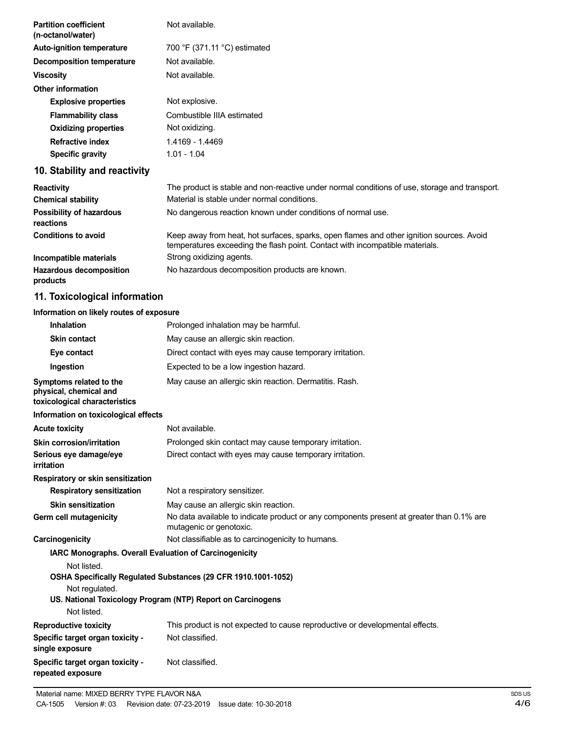| <b>Partition coefficient</b><br>(n-octanol/water) | Not available.                                                                                                                                                           |
|---------------------------------------------------|--------------------------------------------------------------------------------------------------------------------------------------------------------------------------|
| <b>Auto-ignition temperature</b>                  | 700 °F (371.11 °C) estimated                                                                                                                                             |
| <b>Decomposition temperature</b>                  | Not available.                                                                                                                                                           |
| <b>Viscosity</b>                                  | Not available.                                                                                                                                                           |
| <b>Other information</b>                          |                                                                                                                                                                          |
| <b>Explosive properties</b>                       | Not explosive.                                                                                                                                                           |
| <b>Flammability class</b>                         | Combustible IIIA estimated                                                                                                                                               |
| <b>Oxidizing properties</b>                       | Not oxidizing.                                                                                                                                                           |
| <b>Refractive index</b>                           | 1.4169 - 1.4469                                                                                                                                                          |
| <b>Specific gravity</b>                           | $1.01 - 1.04$                                                                                                                                                            |
| 10. Stability and reactivity                      |                                                                                                                                                                          |
| <b>Reactivity</b>                                 | The product is stable and non-reactive under normal conditions of use, storage and transport.                                                                            |
| <b>Chemical stability</b>                         | Material is stable under normal conditions.                                                                                                                              |
| <b>Possibility of hazardous</b><br>reactions      | No dangerous reaction known under conditions of normal use.                                                                                                              |
| <b>Conditions to avoid</b>                        | Keep away from heat, hot surfaces, sparks, open flames and other ignition sources. Avoid<br>temperatures exceeding the flash point. Contact with incompatible materials. |
| Incompatible materials                            | Strong oxidizing agents.                                                                                                                                                 |
| <b>Hazardous decomposition</b><br>products        | No hazardous decomposition products are known.                                                                                                                           |
| 11. Toxicological information                     |                                                                                                                                                                          |
| Information on likely routes of exposure          |                                                                                                                                                                          |
| Inhalation                                        | Prolonged inhalation may be harmful.                                                                                                                                     |
|                                                   |                                                                                                                                                                          |

| <b>Skin contact</b>                                                                | May cause an allergic skin reaction.                                                                                |
|------------------------------------------------------------------------------------|---------------------------------------------------------------------------------------------------------------------|
| Eye contact                                                                        | Direct contact with eyes may cause temporary irritation.                                                            |
| Ingestion                                                                          | Expected to be a low ingestion hazard.                                                                              |
| Symptoms related to the<br>physical, chemical and<br>toxicological characteristics | May cause an allergic skin reaction. Dermatitis. Rash.                                                              |
| Information on toxicological effects                                               |                                                                                                                     |
| <b>Acute toxicity</b>                                                              | Not available.                                                                                                      |
| Skin corrosion/irritation                                                          | Prolonged skin contact may cause temporary irritation.                                                              |
| Serious eye damage/eye<br><b>irritation</b>                                        | Direct contact with eyes may cause temporary irritation.                                                            |
| Respiratory or skin sensitization                                                  |                                                                                                                     |
| <b>Respiratory sensitization</b>                                                   | Not a respiratory sensitizer.                                                                                       |
| <b>Skin sensitization</b>                                                          | May cause an allergic skin reaction.                                                                                |
| Germ cell mutagenicity                                                             | No data available to indicate product or any components present at greater than 0.1% are<br>mutagenic or genotoxic. |
| Carcinogenicity                                                                    | Not classifiable as to carcinogenicity to humans.                                                                   |
| IARC Monographs. Overall Evaluation of Carcinogenicity                             |                                                                                                                     |
| Not listed.                                                                        | OSHA Specifically Regulated Substances (29 CFR 1910.1001-1052)                                                      |
| Not regulated.<br>Not listed.                                                      | US. National Toxicology Program (NTP) Report on Carcinogens                                                         |
| <b>Reproductive toxicity</b>                                                       | This product is not expected to cause reproductive or developmental effects.                                        |
| Specific target organ toxicity -<br>single exposure                                | Not classified.                                                                                                     |
| Specific target organ toxicity -<br>repeated exposure                              | Not classified.                                                                                                     |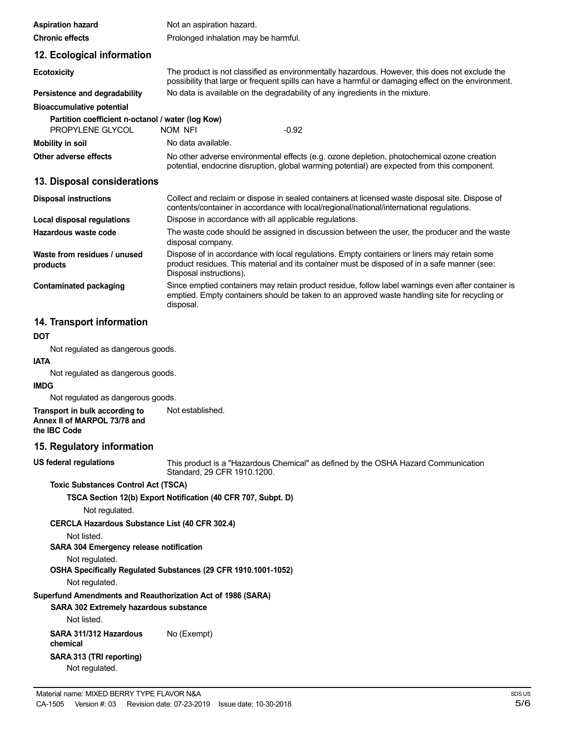| <b>Aspiration hazard</b>                                              | Not an aspiration hazard.                                                                                                                                                                                              |  |
|-----------------------------------------------------------------------|------------------------------------------------------------------------------------------------------------------------------------------------------------------------------------------------------------------------|--|
| <b>Chronic effects</b>                                                | Prolonged inhalation may be harmful.                                                                                                                                                                                   |  |
| 12. Ecological information                                            |                                                                                                                                                                                                                        |  |
| <b>Ecotoxicity</b>                                                    | The product is not classified as environmentally hazardous. However, this does not exclude the<br>possibility that large or frequent spills can have a harmful or damaging effect on the environment.                  |  |
| Persistence and degradability                                         | No data is available on the degradability of any ingredients in the mixture.                                                                                                                                           |  |
| <b>Bioaccumulative potential</b>                                      |                                                                                                                                                                                                                        |  |
| Partition coefficient n-octanol / water (log Kow)<br>PROPYLENE GLYCOL | $-0.92$<br>NOM NFI                                                                                                                                                                                                     |  |
| <b>Mobility in soil</b>                                               | No data available.                                                                                                                                                                                                     |  |
| Other adverse effects                                                 | No other adverse environmental effects (e.g. ozone depletion, photochemical ozone creation<br>potential, endocrine disruption, global warming potential) are expected from this component.                             |  |
| 13. Disposal considerations                                           |                                                                                                                                                                                                                        |  |
| <b>Disposal instructions</b>                                          | Collect and reclaim or dispose in sealed containers at licensed waste disposal site. Dispose of<br>contents/container in accordance with local/regional/national/international regulations.                            |  |
| Local disposal regulations                                            | Dispose in accordance with all applicable regulations.                                                                                                                                                                 |  |
| Hazardous waste code                                                  | The waste code should be assigned in discussion between the user, the producer and the waste<br>disposal company.                                                                                                      |  |
| Waste from residues / unused<br>products                              | Dispose of in accordance with local regulations. Empty containers or liners may retain some<br>product residues. This material and its container must be disposed of in a safe manner (see:<br>Disposal instructions). |  |
| <b>Contaminated packaging</b>                                         | Since emptied containers may retain product residue, follow label warnings even after container is<br>emptied. Empty containers should be taken to an approved waste handling site for recycling or<br>disposal.       |  |

## **14. Transport information**

## **DOT**

Not regulated as dangerous goods.

# **IATA**

Not regulated as dangerous goods.

#### **IMDG**

Not regulated as dangerous goods.

**Transport in bulk according to Annex II of MARPOL 73/78 and the IBC Code** Not established.

## **15. Regulatory information**

**US federal regulations**

This product is a "Hazardous Chemical" as defined by the OSHA Hazard Communication Standard, 29 CFR 1910.1200.

#### **Toxic Substances Control Act (TSCA)**

**TSCA Section 12(b) Export Notification (40 CFR 707, Subpt. D)**

Not regulated.

**CERCLA Hazardous Substance List (40 CFR 302.4)**

Not listed.

## **SARA 304 Emergency release notification**

Not regulated.

**OSHA Specifically Regulated Substances (29 CFR 1910.1001-1052)**

Not regulated.

## **Superfund Amendments and Reauthorization Act of 1986 (SARA)**

**SARA 302 Extremely hazardous substance**

Not listed.

**SARA 311/312 Hazardous chemical SARA 313 (TRI reporting)** Not regulated. No (Exempt)